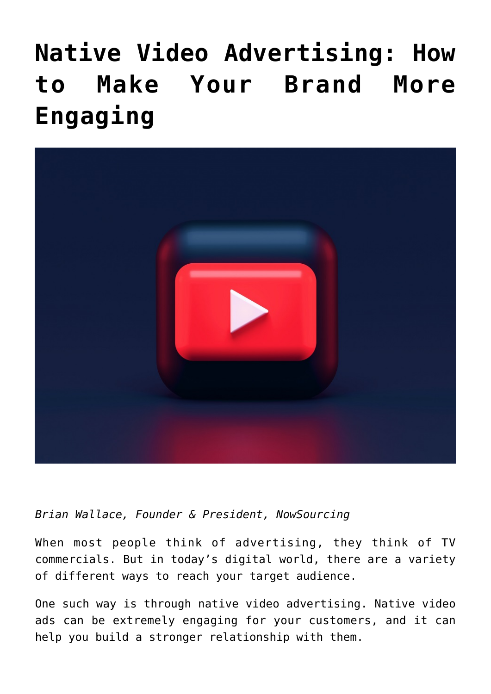# **[Native Video Advertising: How](https://www.commpro.biz/native-video-advertising-how-to-make-your-brand-more-engaging-infographic/) [to Make Your Brand More](https://www.commpro.biz/native-video-advertising-how-to-make-your-brand-more-engaging-infographic/) [Engaging](https://www.commpro.biz/native-video-advertising-how-to-make-your-brand-more-engaging-infographic/)**



*Brian Wallace, Founder & President, [NowSourcing](https://nowsourcing.com/)*

When most people think of advertising, they think of TV commercials. But in today's digital world, there are a variety of different ways to reach your target audience.

One such way is through native video advertising. [Native video](https://quickframe.com/blog/native-video-advertising/) [ads](https://quickframe.com/blog/native-video-advertising/) can be extremely engaging for your customers, and it can help you build a stronger relationship with them.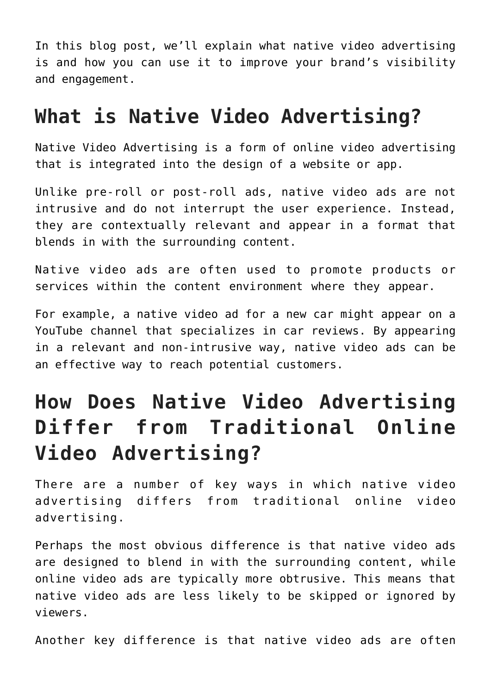In this blog post, we'll explain what native video advertising is and how you can use it to improve your brand's visibility and engagement.

### **What is Native Video Advertising?**

Native Video Advertising is a form of online video advertising that is integrated into the design of a website or app.

Unlike pre-roll or post-roll ads, native video ads are not intrusive and do not interrupt the user experience. Instead, they are contextually relevant and appear in a format that blends in with the surrounding content.

Native video ads are often used to promote products or services within the content environment where they appear.

For example, a native video ad for a new car might appear on a YouTube channel that specializes in car reviews. By appearing in a relevant and non-intrusive way, native video ads can be an effective way to reach potential customers.

## **How Does Native Video Advertising Differ from Traditional Online Video Advertising?**

There are a number of key ways in which native video advertising differs from traditional online video advertising.

Perhaps the most obvious difference is that native video ads are designed to blend in with the surrounding content, while online video ads are typically more obtrusive. This means that native video ads are less likely to be skipped or ignored by viewers.

Another key difference is that native video ads are often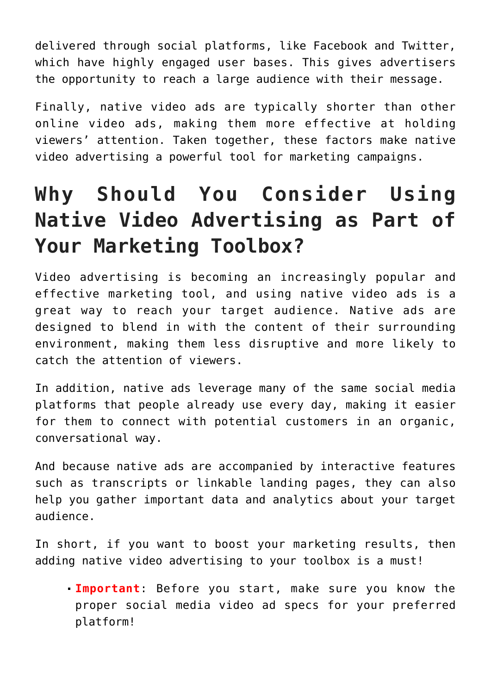delivered throug[h social](https://www.commpro.biz/social-media-section/) platforms, like Facebook and Twitter, which have highly engaged user bases. This gives advertisers the opportunity to reach a large audience with their message.

Finally, native video ads are typically shorter than other online video ads, making them more effective at holding viewers' attention. Taken together, these factors make native video advertising a powerful tool for marketing campaigns.

# **Why Should You Consider Using Native Video Advertising as Part of Your Marketing Toolbox?**

Video advertising is becoming an increasingly popular and effective [marketing](https://www.commpro.biz/marketing-section/) tool, and using native video ads is a great way to reach your target audience. Native ads are designed to blend in with the content of their surrounding environment, making them less disruptive and more likely to catch the attention of viewers.

In addition, native ads leverage many of the same social media platforms that people already use every day, making it easier for them to connect with potential customers in an organic, conversational way.

And because native ads are accompanied by interactive features such as transcripts or linkable landing pages, they can also help you gather important data and analytics about your target audience.

In short, if you want to boost your marketing results, then adding native video advertising to your toolbox is a must!

**Important**: Before you start, make sure you know the proper [social media video ad specs](https://quickframe.com/blog/social-media-video-ad-specs-placements-guide/) for your preferred platform!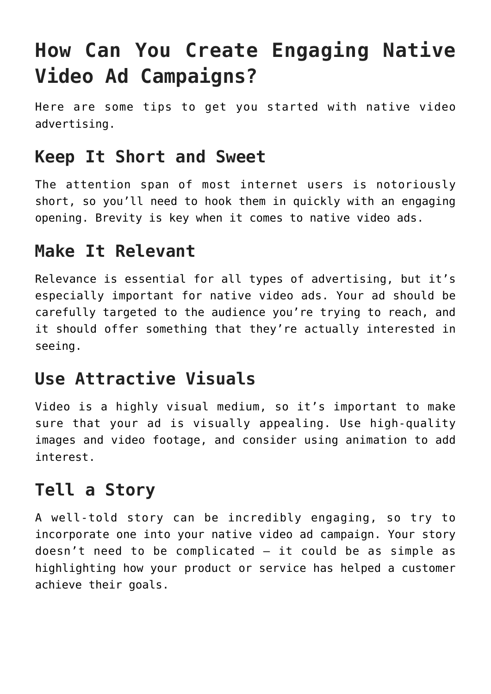# **How Can You Create Engaging Native Video Ad Campaigns?**

Here are some tips to get you started with native video advertising.

#### **Keep It Short and Sweet**

The attention span of most internet users is notoriously short, so you'll need to hook them in quickly with an engaging opening. Brevity is key when it comes to native video ads.

#### **Make It Relevant**

Relevance is essential for all types of advertising, but it's especially important for native video ads. Your ad should be carefully targeted to the audience you're trying to reach, and it should offer something that they're actually interested in seeing.

#### **Use Attractive Visuals**

Video is a highly visual medium, so it's important to make sure that your ad is visually appealing. Use high-quality images and video footage, and consider using animation to add interest.

#### **Tell a Story**

A well-told story can be incredibly engaging, so try to incorporate one into your native video ad campaign. Your story doesn't need to be complicated – it could be as simple as highlighting how your product or service has helped a customer achieve their goals.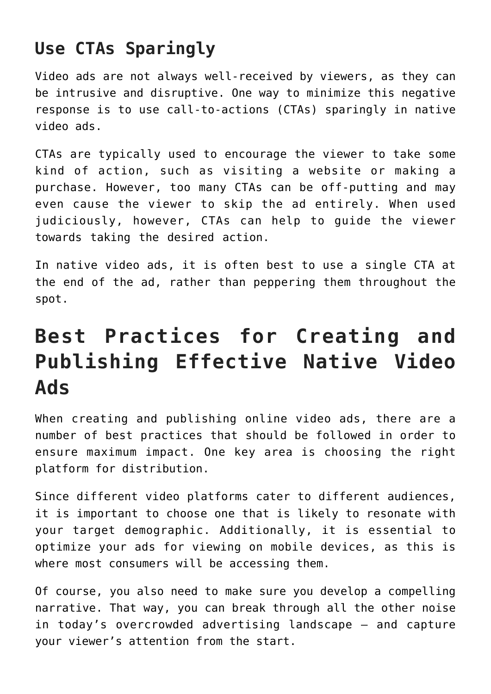#### **Use CTAs Sparingly**

Video ads are not always well-received by viewers, as they can be intrusive and disruptive. One way to minimize this negative response is to use call-to-actions (CTAs) sparingly in native video ads.

CTAs are typically used to encourage the viewer to take some kind of action, such as visiting a website or making a purchase. However, too many CTAs can be off-putting and may even cause the viewer to skip the ad entirely. When used judiciously, however, CTAs can help to guide the viewer towards taking the desired action.

In native video ads, it is often best to use a single CTA at the end of the ad, rather than peppering them throughout the spot.

### **Best Practices for Creating and Publishing Effective Native Video Ads**

When creating and publishing online video ads, there are a number of best practices that should be followed in order to ensure maximum impact. One key area is choosing the right platform for distribution.

Since different video platforms cater to different audiences, it is important to choose one that is likely to resonate with your target demographic. Additionally, it is essential to optimize your ads for viewing on mobile devices, as this is where most consumers will be accessing them.

Of course, you also need to make sure you develop a compelling narrative. That way, you can break through all the other noise in today's overcrowded advertising landscape – and capture your viewer's attention from the start.